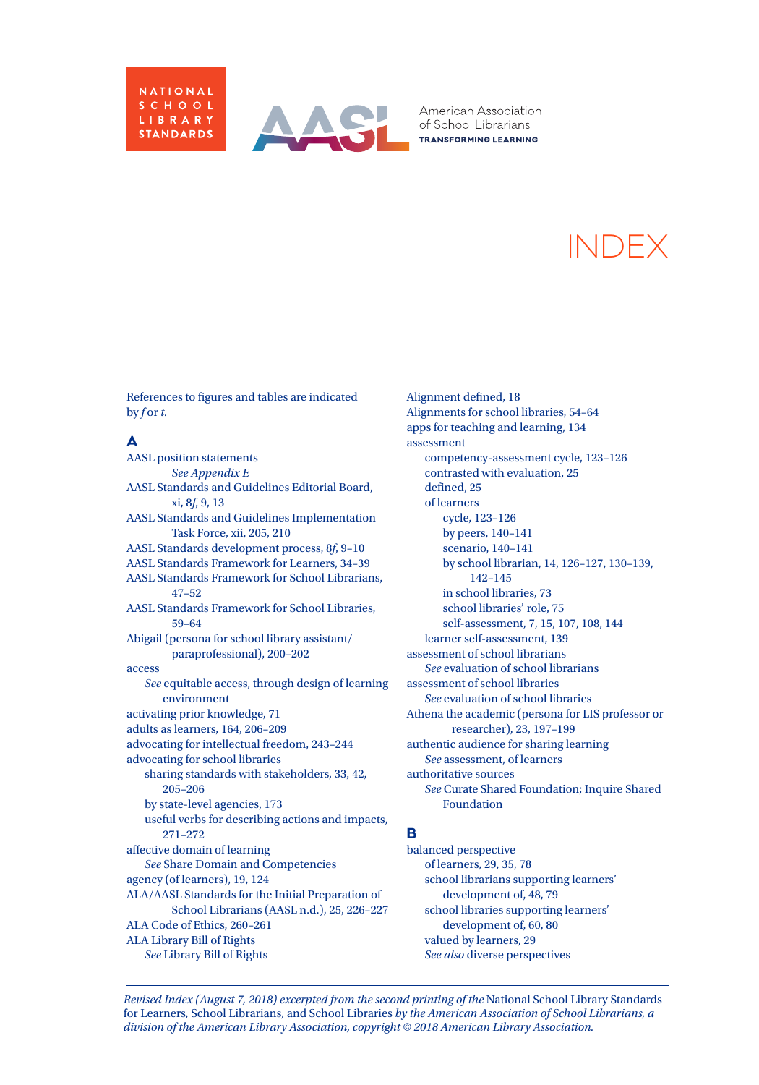



# INDEX

References to figures and tables are indicated by *f* or *t.*

# **A**

AASL position statements *See Appendix E* AASL Standards and Guidelines Editorial Board, xi, 8*f*, 9, 13 AASL Standards and Guidelines Implementation Task Force, xii, 205, 210 AASL Standards development process, 8*f*, 9–10 AASL Standards Framework for Learners, 34–39 AASL Standards Framework for School Librarians, 47–52 AASL Standards Framework for School Libraries, 59–64 Abigail (persona for school library assistant/ paraprofessional), 200–202 access *See* equitable access, through design of learning environment activating prior knowledge, 71 adults as learners, 164, 206–209 advocating for intellectual freedom, 243–244 advocating for school libraries sharing standards with stakeholders, 33, 42, 205–206 by state-level agencies, 173 useful verbs for describing actions and impacts, 271–272 affective domain of learning *See* Share Domain and Competencies agency (of learners), 19, 124 ALA/AASL Standards for the Initial Preparation of School Librarians (AASL n.d.), 25, 226–227 ALA Code of Ethics, 260–261 ALA Library Bill of Rights *See* Library Bill of Rights

Alignment defined, 18 Alignments for school libraries, 54–64 apps for teaching and learning, 134 assessment competency-assessment cycle, 123–126 contrasted with evaluation, 25 defined, 25 of learners cycle, 123–126 by peers, 140–141 scenario, 140–141 by school librarian, 14, 126–127, 130–139, 142–145 in school libraries, 73 school libraries' role, 75 self-assessment, 7, 15, 107, 108, 144 learner self-assessment, 139 assessment of school librarians *See* evaluation of school librarians assessment of school libraries *See* evaluation of school libraries Athena the academic (persona for LIS professor or researcher), 23, 197–199 authentic audience for sharing learning *See* assessment, of learners authoritative sources *See* Curate Shared Foundation; Inquire Shared Foundation

# **B**

balanced perspective of learners, 29, 35, 78 school librarians supporting learners' development of, 48, 79 school libraries supporting learners' development of, 60, 80 valued by learners, 29 *See also* diverse perspectives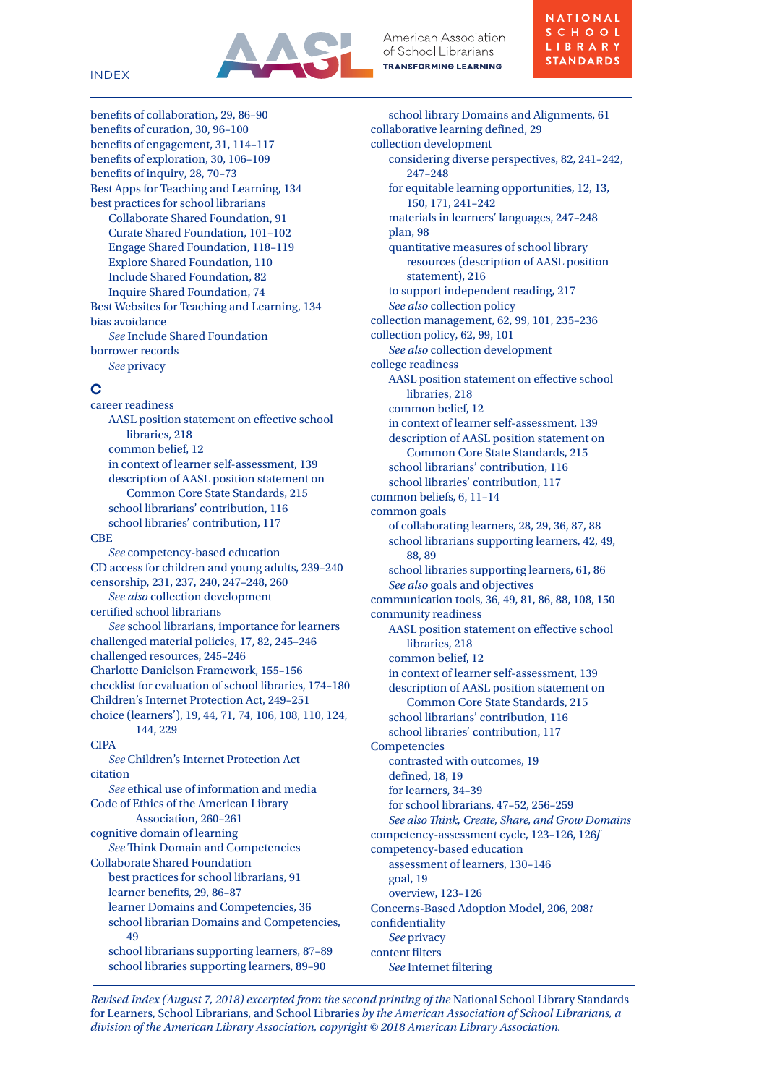

American Association of School Librarians **TRANSFORMING LEARNING** 

school library Domains and Alignments, 61

benefits of collaboration, 29, 86–90 benefits of curation, 30, 96–100 benefits of engagement, 31, 114–117 benefits of exploration, 30, 106–109 benefits of inquiry, 28, 70–73 Best Apps for Teaching and Learning, 134 best practices for school librarians Collaborate Shared Foundation, 91 Curate Shared Foundation, 101–102 Engage Shared Foundation, 118–119 Explore Shared Foundation, 110 Include Shared Foundation, 82 Inquire Shared Foundation, 74 Best Websites for Teaching and Learning, 134 bias avoidance *See* Include Shared Foundation borrower records *See* privacy

# **C**

career readiness AASL position statement on effective school libraries, 218 common belief, 12 in context of learner self-assessment, 139 description of AASL position statement on Common Core State Standards, 215 school librarians' contribution, 116 school libraries' contribution, 117 **CBE** *See* competency-based education CD access for children and young adults, 239–240 censorship, 231, 237, 240, 247–248, 260 *See also* collection development certified school librarians *See* school librarians, importance for learners challenged material policies, 17, 82, 245–246 challenged resources, 245–246 Charlotte Danielson Framework, 155–156 checklist for evaluation of school libraries, 174–180 Children's Internet Protection Act, 249–251 choice (learners'), 19, 44, 71, 74, 106, 108, 110, 124, 144, 229  $CIDA$ *See* Children's Internet Protection Act citation *See* ethical use of information and media Code of Ethics of the American Library Association, 260–261 cognitive domain of learning *See* Think Domain and Competencies Collaborate Shared Foundation best practices for school librarians, 91 learner benefits, 29, 86–87 learner Domains and Competencies, 36 school librarian Domains and Competencies, 49 school librarians supporting learners, 87–89 school libraries supporting learners, 89–90

collaborative learning defined, 29 collection development considering diverse perspectives, 82, 241–242, 247–248 for equitable learning opportunities, 12, 13, 150, 171, 241–242 materials in learners' languages, 247–248 plan, 98 quantitative measures of school library resources (description of AASL position statement), 216 to support independent reading, 217 *See also* collection policy collection management, 62, 99, 101, 235–236 collection policy, 62, 99, 101 *See also* collection development college readiness AASL position statement on effective school libraries, 218 common belief, 12 in context of learner self-assessment, 139 description of AASL position statement on Common Core State Standards, 215 school librarians' contribution, 116 school libraries' contribution, 117 common beliefs, 6, 11–14 common goals of collaborating learners, 28, 29, 36, 87, 88 school librarians supporting learners, 42, 49, 88, 89 school libraries supporting learners, 61, 86 *See also* goals and objectives communication tools, 36, 49, 81, 86, 88, 108, 150 community readiness AASL position statement on effective school libraries, 218 common belief, 12 in context of learner self-assessment, 139 description of AASL position statement on Common Core State Standards, 215 school librarians' contribution, 116 school libraries' contribution, 117 Competencies contrasted with outcomes, 19 defined, 18, 19 for learners, 34–39 for school librarians, 47–52, 256–259 *See also Think, Create, Share, and Grow Domains* competency-assessment cycle, 123–126, 126*f* competency-based education assessment of learners, 130–146 goal, 19 overview, 123–126 Concerns-Based Adoption Model, 206, 208*t* confidentiality *See* privacy content filters *See* Internet filtering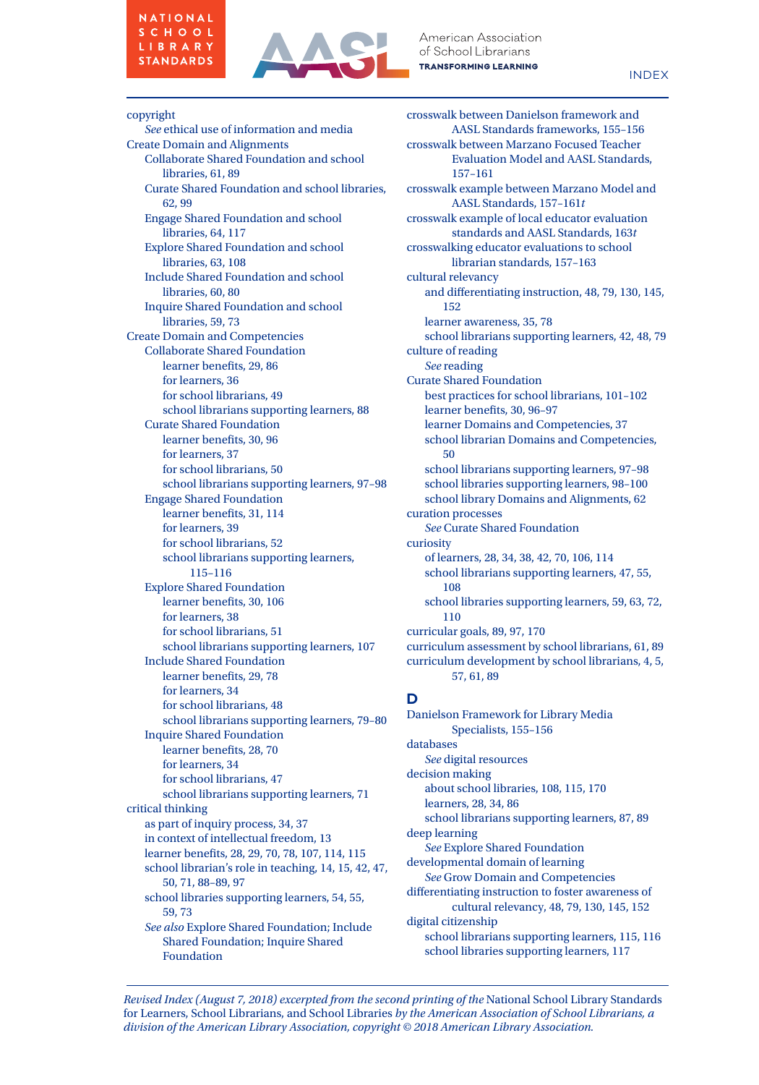

index

copyright *See* ethical use of information and media Create Domain and Alignments Collaborate Shared Foundation and school libraries, 61, 89 Curate Shared Foundation and school libraries, 62, 99 Engage Shared Foundation and school libraries, 64, 117 Explore Shared Foundation and school libraries, 63, 108 Include Shared Foundation and school libraries, 60, 80 Inquire Shared Foundation and school libraries, 59, 73 Create Domain and Competencies Collaborate Shared Foundation learner benefits, 29, 86 for learners, 36 for school librarians, 49 school librarians supporting learners, 88 Curate Shared Foundation learner benefits, 30, 96 for learners, 37 for school librarians, 50 school librarians supporting learners, 97–98 Engage Shared Foundation learner benefits, 31, 114 for learners, 39 for school librarians, 52 school librarians supporting learners, 115–116 Explore Shared Foundation learner benefits, 30, 106 for learners, 38 for school librarians, 51 school librarians supporting learners, 107 Include Shared Foundation learner benefits, 29, 78 for learners, 34 for school librarians, 48 school librarians supporting learners, 79–80 Inquire Shared Foundation learner benefits, 28, 70 for learners, 34 for school librarians, 47 school librarians supporting learners, 71 critical thinking as part of inquiry process, 34, 37 in context of intellectual freedom, 13 learner benefits, 28, 29, 70, 78, 107, 114, 115 school librarian's role in teaching, 14, 15, 42, 47, 50, 71, 88–89, 97 school libraries supporting learners, 54, 55, 59, 73 *See also* Explore Shared Foundation; Include Shared Foundation; Inquire Shared Foundation

crosswalk between Danielson framework and AASL Standards frameworks, 155–156 crosswalk between Marzano Focused Teacher Evaluation Model and AASL Standards, 157–161 crosswalk example between Marzano Model and AASL Standards, 157–161*t* crosswalk example of local educator evaluation standards and AASL Standards, 163*t* crosswalking educator evaluations to school librarian standards, 157–163 cultural relevancy and differentiating instruction, 48, 79, 130, 145, 152 learner awareness, 35, 78 school librarians supporting learners, 42, 48, 79 culture of reading *See* reading Curate Shared Foundation best practices for school librarians, 101–102 learner benefits, 30, 96–97 learner Domains and Competencies, 37 school librarian Domains and Competencies, 50 school librarians supporting learners, 97–98 school libraries supporting learners, 98–100 school library Domains and Alignments, 62 curation processes *See* Curate Shared Foundation curiosity of learners, 28, 34, 38, 42, 70, 106, 114 school librarians supporting learners, 47, 55, 108 school libraries supporting learners, 59, 63, 72, 110 curricular goals, 89, 97, 170 curriculum assessment by school librarians, 61, 89 curriculum development by school librarians, 4, 5, 57, 61, 89 **D**

Danielson Framework for Library Media Specialists, 155–156 databases *See* digital resources decision making about school libraries, 108, 115, 170 learners, 28, 34, 86 school librarians supporting learners, 87, 89 deep learning *See* Explore Shared Foundation developmental domain of learning *See* Grow Domain and Competencies differentiating instruction to foster awareness of cultural relevancy, 48, 79, 130, 145, 152 digital citizenship school librarians supporting learners, 115, 116 school libraries supporting learners, 117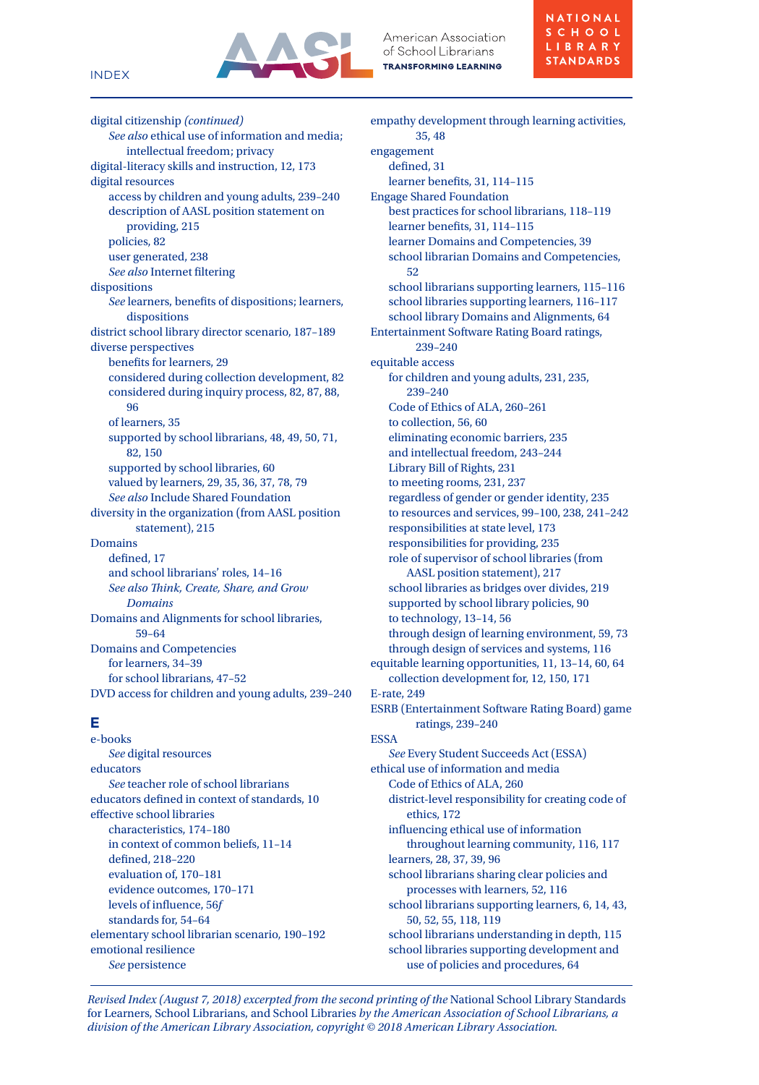

American Association of School Librarians **TRANSFORMING LEARNING** 

digital citizenship *(continued) See also* ethical use of information and media; intellectual freedom; privacy digital-literacy skills and instruction, 12, 173 digital resources access by children and young adults, 239–240 description of AASL position statement on providing, 215 policies, 82 user generated, 238 *See also* Internet filtering dispositions *See* learners, benefits of dispositions; learners, dispositions district school library director scenario, 187–189 diverse perspectives benefits for learners, 29 considered during collection development, 82 considered during inquiry process, 82, 87, 88, 96 of learners, 35 supported by school librarians, 48, 49, 50, 71, 82, 150 supported by school libraries, 60 valued by learners, 29, 35, 36, 37, 78, 79 *See also* Include Shared Foundation diversity in the organization (from AASL position statement), 215 Domains defined, 17 and school librarians' roles, 14–16 *See also Think, Create, Share, and Grow Domains* Domains and Alignments for school libraries, 59–64 Domains and Competencies for learners, 34–39 for school librarians, 47–52 DVD access for children and young adults, 239–240

# **E**

e-books *See* digital resources educators *See* teacher role of school librarians educators defined in context of standards, 10 effective school libraries characteristics, 174–180 in context of common beliefs, 11–14 defined, 218–220 evaluation of, 170–181 evidence outcomes, 170–171 levels of influence, 56*f* standards for, 54–64 elementary school librarian scenario, 190–192 emotional resilience *See* persistence

empathy development through learning activities, 35, 48 engagement defined, 31 learner benefits, 31, 114–115 Engage Shared Foundation best practices for school librarians, 118–119 learner benefits, 31, 114–115 learner Domains and Competencies, 39 school librarian Domains and Competencies, 52 school librarians supporting learners, 115–116 school libraries supporting learners, 116–117 school library Domains and Alignments, 64 Entertainment Software Rating Board ratings, 239–240 equitable access for children and young adults, 231, 235, 239–240 Code of Ethics of ALA, 260–261 to collection, 56, 60 eliminating economic barriers, 235 and intellectual freedom, 243–244 Library Bill of Rights, 231 to meeting rooms, 231, 237 regardless of gender or gender identity, 235 to resources and services, 99–100, 238, 241–242 responsibilities at state level, 173 responsibilities for providing, 235 role of supervisor of school libraries (from AASL position statement), 217 school libraries as bridges over divides, 219 supported by school library policies, 90 to technology, 13–14, 56 through design of learning environment, 59, 73 through design of services and systems, 116 equitable learning opportunities, 11, 13–14, 60, 64 collection development for, 12, 150, 171 E-rate, 249 ESRB (Entertainment Software Rating Board) game ratings, 239–240 **ESSA** *See* Every Student Succeeds Act (ESSA) ethical use of information and media Code of Ethics of ALA, 260 district-level responsibility for creating code of ethics, 172 influencing ethical use of information throughout learning community, 116, 117 learners, 28, 37, 39, 96 school librarians sharing clear policies and processes with learners, 52, 116 school librarians supporting learners, 6, 14, 43, 50, 52, 55, 118, 119 school librarians understanding in depth, 115 school libraries supporting development and use of policies and procedures, 64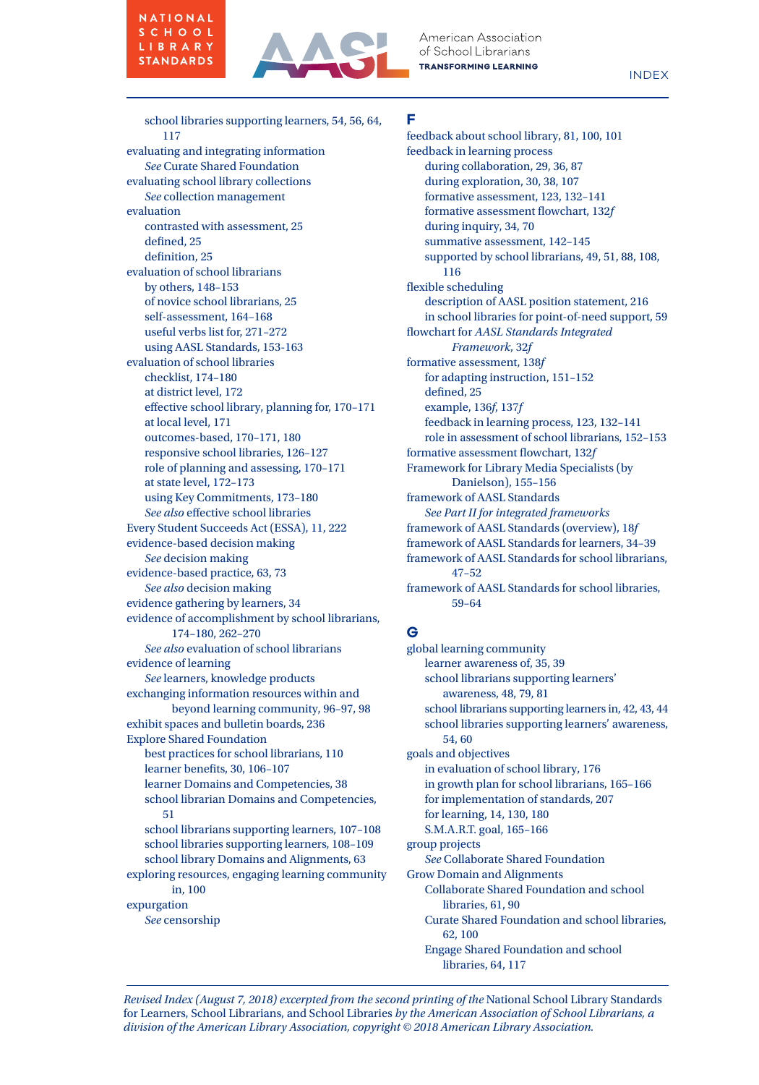

index

school libraries supporting learners, 54, 56, 64, 117 evaluating and integrating information *See* Curate Shared Foundation evaluating school library collections *See* collection management evaluation contrasted with assessment, 25 defined, 25 definition, 25 evaluation of school librarians by others, 148–153 of novice school librarians, 25 self-assessment, 164–168 useful verbs list for, 271–272 using AASL Standards, 153-163 evaluation of school libraries checklist, 174–180 at district level, 172 effective school library, planning for, 170–171 at local level, 171 outcomes-based, 170–171, 180 responsive school libraries, 126–127 role of planning and assessing, 170–171 at state level, 172–173 using Key Commitments, 173–180 *See also* effective school libraries Every Student Succeeds Act (ESSA), 11, 222 evidence-based decision making *See* decision making evidence-based practice, 63, 73 *See also* decision making evidence gathering by learners, 34 evidence of accomplishment by school librarians, 174–180, 262–270 *See also* evaluation of school librarians evidence of learning *See* learners, knowledge products exchanging information resources within and beyond learning community, 96–97, 98 exhibit spaces and bulletin boards, 236 Explore Shared Foundation best practices for school librarians, 110 learner benefits, 30, 106–107 learner Domains and Competencies, 38 school librarian Domains and Competencies, 51 school librarians supporting learners, 107–108 school libraries supporting learners, 108–109 school library Domains and Alignments, 63 exploring resources, engaging learning community in, 100 expurgation *See* censorship

#### **F**

feedback about school library, 81, 100, 101 feedback in learning process during collaboration, 29, 36, 87 during exploration, 30, 38, 107 formative assessment, 123, 132–141 formative assessment flowchart, 132*f* during inquiry, 34, 70 summative assessment, 142–145 supported by school librarians, 49, 51, 88, 108, 116 flexible scheduling description of AASL position statement, 216 in school libraries for point-of-need support, 59 flowchart for *AASL Standards Integrated Framework*, 32*f* formative assessment, 138*f* for adapting instruction, 151–152 defined, 25 example, 136*f*, 137*f* feedback in learning process, 123, 132–141 role in assessment of school librarians, 152–153 formative assessment flowchart, 132*f* Framework for Library Media Specialists (by Danielson), 155–156 framework of AASL Standards *See Part II for integrated frameworks* framework of AASL Standards (overview), 18*f* framework of AASL Standards for learners, 34–39 framework of AASL Standards for school librarians, 47–52 framework of AASL Standards for school libraries, 59–64

# **G**

global learning community learner awareness of, 35, 39 school librarians supporting learners' awareness, 48, 79, 81 school librarians supporting learners in, 42, 43, 44 school libraries supporting learners' awareness, 54, 60 goals and objectives in evaluation of school library, 176 in growth plan for school librarians, 165–166 for implementation of standards, 207 for learning, 14, 130, 180 S.M.A.R.T. goal, 165–166 group projects *See* Collaborate Shared Foundation Grow Domain and Alignments Collaborate Shared Foundation and school libraries, 61, 90 Curate Shared Foundation and school libraries, 62, 100 Engage Shared Foundation and school libraries, 64, 117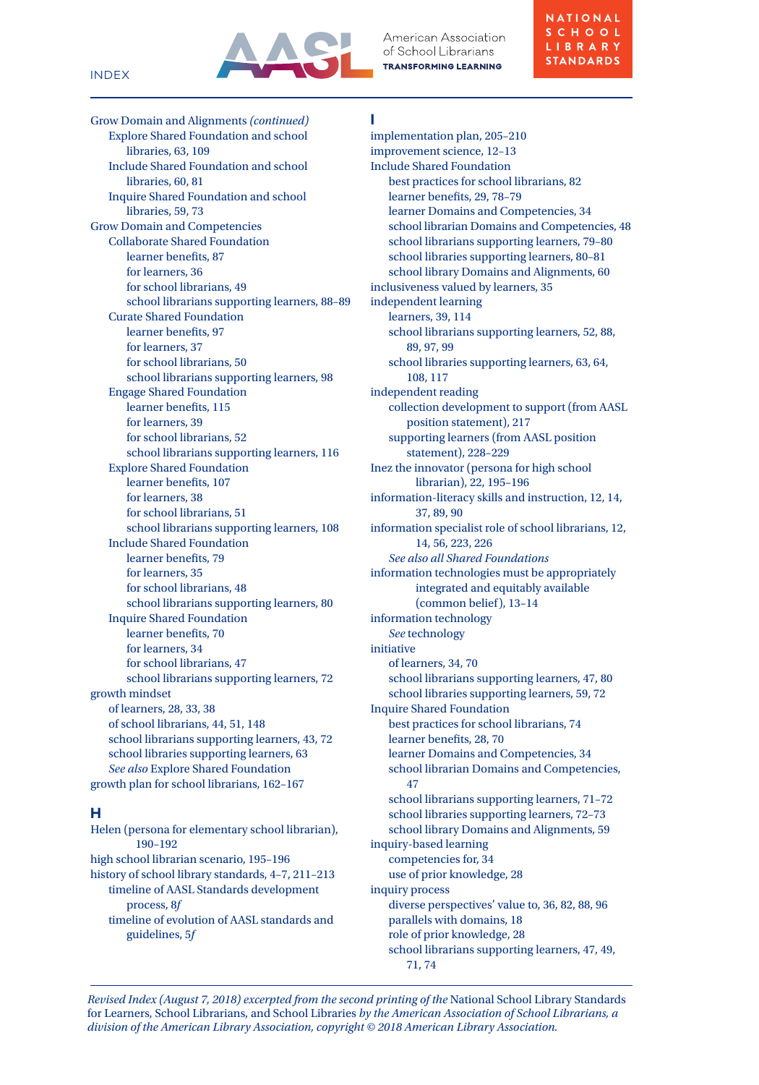

American Association of School Librarians **TRANSFORMING LEARNING** 

Grow Domain and Alignments *(continued)* Explore Shared Foundation and school libraries, 63, 109 Include Shared Foundation and school libraries, 60, 81 Inquire Shared Foundation and school libraries, 59, 73 Grow Domain and Competencies Collaborate Shared Foundation learner benefits, 87 for learners, 36 for school librarians, 49 school librarians supporting learners, 88–89 Curate Shared Foundation learner benefits, 97 for learners, 37 for school librarians, 50 school librarians supporting learners, 98 Engage Shared Foundation learner benefits, 115 for learners, 39 for school librarians, 52 school librarians supporting learners, 116 Explore Shared Foundation learner benefits, 107 for learners, 38 for school librarians, 51 school librarians supporting learners, 108 Include Shared Foundation learner benefits, 79 for learners, 35 for school librarians, 48 school librarians supporting learners, 80 Inquire Shared Foundation learner benefits, 70 for learners, 34 for school librarians, 47 school librarians supporting learners, 72 growth mindset of learners, 28, 33, 38 of school librarians, 44, 51, 148 school librarians supporting learners, 43, 72 school libraries supporting learners, 63 *See also* Explore Shared Foundation growth plan for school librarians, 162–167

# **H**

Helen (persona for elementary school librarian), 190–192 high school librarian scenario, 195–196 history of school library standards, 4–7, 211–213 timeline of AASL Standards development process, 8*f* timeline of evolution of AASL standards and guidelines, 5*f*

#### **I**

implementation plan, 205–210 improvement science, 12–13 Include Shared Foundation best practices for school librarians, 82 learner benefits, 29, 78–79 learner Domains and Competencies, 34 school librarian Domains and Competencies, 48 school librarians supporting learners, 79–80 school libraries supporting learners, 80–81 school library Domains and Alignments, 60 inclusiveness valued by learners, 35 independent learning learners, 39, 114 school librarians supporting learners, 52, 88, 89, 97, 99 school libraries supporting learners, 63, 64, 108, 117 independent reading collection development to support (from AASL position statement), 217 supporting learners (from AASL position statement), 228–229 Inez the innovator (persona for high school librarian), 22, 195–196 information-literacy skills and instruction, 12, 14, 37, 89, 90 information specialist role of school librarians, 12, 14, 56, 223, 226 *See also all Shared Foundations* information technologies must be appropriately integrated and equitably available (common belief), 13–14 information technology *See* technology initiative of learners, 34, 70 school librarians supporting learners, 47, 80 school libraries supporting learners, 59, 72 Inquire Shared Foundation best practices for school librarians, 74 learner benefits, 28, 70 learner Domains and Competencies, 34 school librarian Domains and Competencies, 47 school librarians supporting learners, 71–72 school libraries supporting learners, 72–73 school library Domains and Alignments, 59 inquiry-based learning competencies for, 34 use of prior knowledge, 28 inquiry process diverse perspectives' value to, 36, 82, 88, 96 parallels with domains, 18 role of prior knowledge, 28 school librarians supporting learners, 47, 49, 71, 74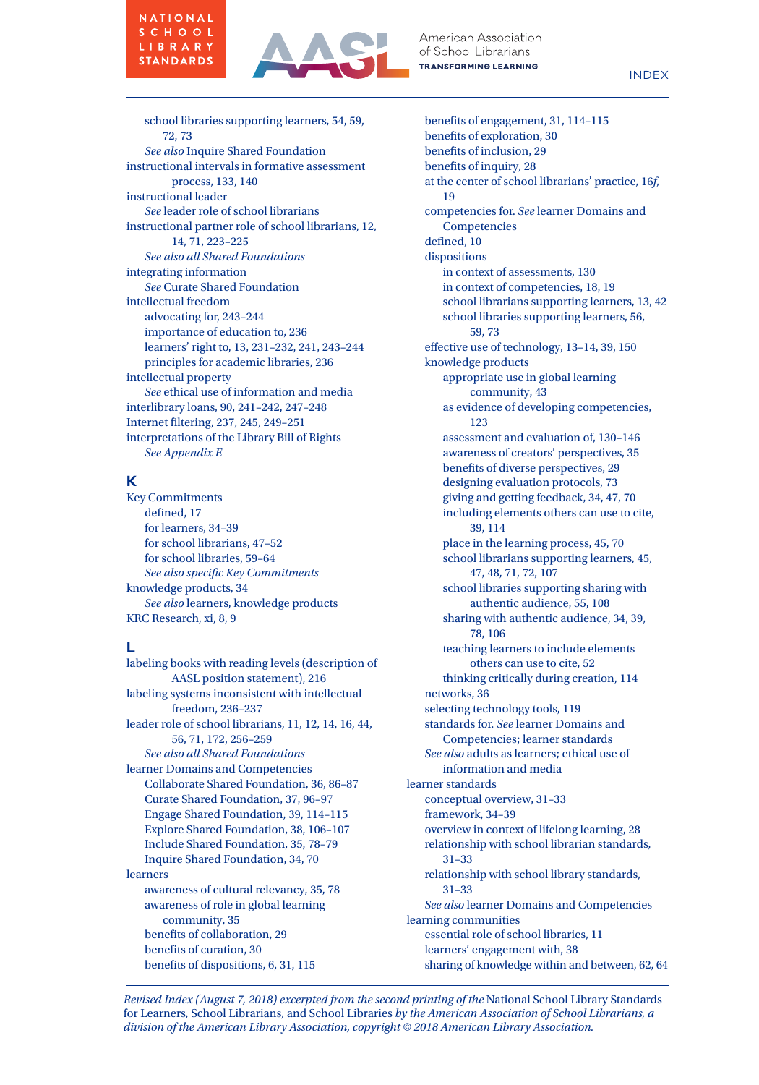

index

school libraries supporting learners, 54, 59, 72, 73 *See also* Inquire Shared Foundation instructional intervals in formative assessment process, 133, 140 instructional leader *See* leader role of school librarians instructional partner role of school librarians, 12, 14, 71, 223–225 *See also all Shared Foundations* integrating information *See* Curate Shared Foundation intellectual freedom advocating for, 243–244 importance of education to, 236 learners' right to, 13, 231–232, 241, 243–244 principles for academic libraries, 236 intellectual property *See* ethical use of information and media interlibrary loans, 90, 241–242, 247–248 Internet filtering, 237, 245, 249–251 interpretations of the Library Bill of Rights *See Appendix E*

# **K**

Key Commitments defined, 17 for learners, 34–39 for school librarians, 47–52 for school libraries, 59–64 *See also specific Key Commitments* knowledge products, 34 *See also* learners, knowledge products KRC Research, xi, 8, 9

# **L**

labeling books with reading levels (description of AASL position statement), 216 labeling systems inconsistent with intellectual freedom, 236–237 leader role of school librarians, 11, 12, 14, 16, 44, 56, 71, 172, 256–259 *See also all Shared Foundations* learner Domains and Competencies Collaborate Shared Foundation, 36, 86–87 Curate Shared Foundation, 37, 96–97 Engage Shared Foundation, 39, 114–115 Explore Shared Foundation, 38, 106–107 Include Shared Foundation, 35, 78–79 Inquire Shared Foundation, 34, 70 learners awareness of cultural relevancy, 35, 78 awareness of role in global learning community, 35 benefits of collaboration, 29 benefits of curation, 30 benefits of dispositions, 6, 31, 115

benefits of engagement, 31, 114–115 benefits of exploration, 30 benefits of inclusion, 29 benefits of inquiry, 28 at the center of school librarians' practice, 16*f*, 19 competencies for. *See* learner Domains and Competencies defined, 10 dispositions in context of assessments, 130 in context of competencies, 18, 19 school librarians supporting learners, 13, 42 school libraries supporting learners, 56, 59, 73 effective use of technology, 13–14, 39, 150 knowledge products appropriate use in global learning community, 43 as evidence of developing competencies, 123 assessment and evaluation of, 130–146 awareness of creators' perspectives, 35 benefits of diverse perspectives, 29 designing evaluation protocols, 73 giving and getting feedback, 34, 47, 70 including elements others can use to cite, 39, 114 place in the learning process, 45, 70 school librarians supporting learners, 45, 47, 48, 71, 72, 107 school libraries supporting sharing with authentic audience, 55, 108 sharing with authentic audience, 34, 39, 78, 106 teaching learners to include elements others can use to cite, 52 thinking critically during creation, 114 networks, 36 selecting technology tools, 119 standards for. *See* learner Domains and Competencies; learner standards *See also* adults as learners; ethical use of information and media learner standards conceptual overview, 31–33 framework, 34–39 overview in context of lifelong learning, 28 relationship with school librarian standards, 31–33 relationship with school library standards, 31–33 *See also* learner Domains and Competencies learning communities essential role of school libraries, 11 learners' engagement with, 38 sharing of knowledge within and between, 62, 64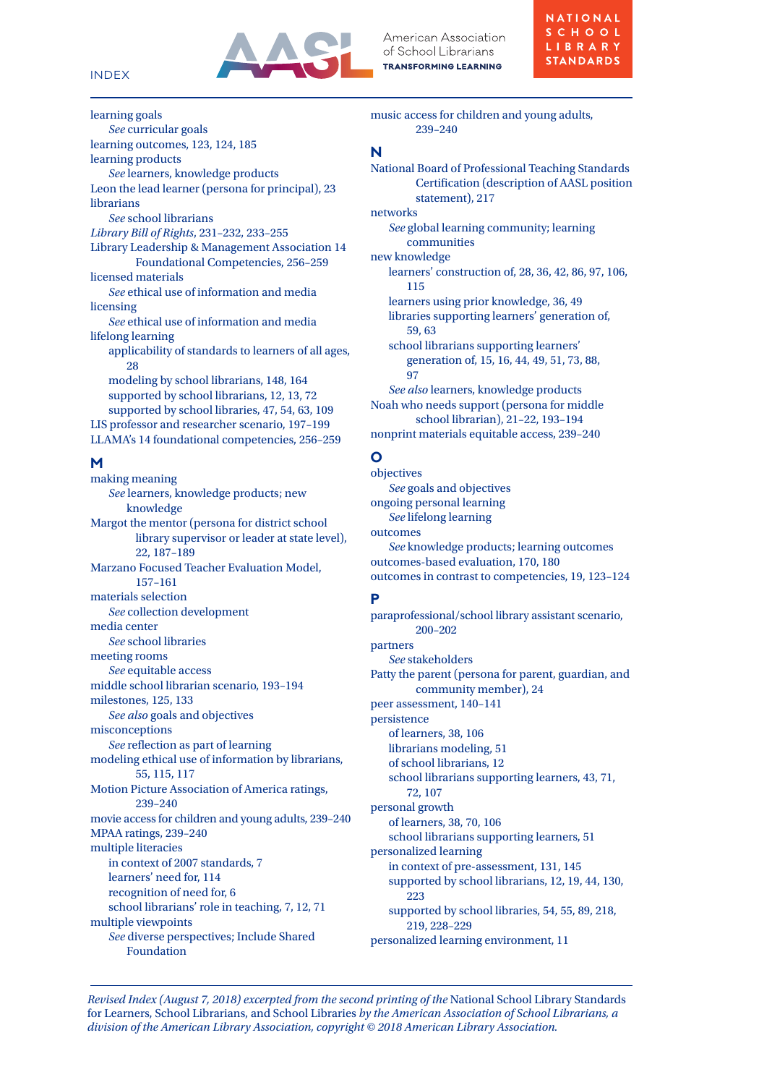

American Association of School Librarians **TRANSFORMING LEARNING** 

learning goals *See* curricular goals learning outcomes, 123, 124, 185 learning products *See* learners, knowledge products Leon the lead learner (persona for principal), 23 librarians *See* school librarians *Library Bill of Rights*, 231–232, 233–255 Library Leadership & Management Association 14 Foundational Competencies, 256–259 licensed materials *See* ethical use of information and media licensing *See* ethical use of information and media lifelong learning applicability of standards to learners of all ages, 28 modeling by school librarians, 148, 164 supported by school librarians, 12, 13, 72 supported by school libraries, 47, 54, 63, 109 LIS professor and researcher scenario, 197–199 LLAMA's 14 foundational competencies, 256–259

## **M**

making meaning *See* learners, knowledge products; new knowledge Margot the mentor (persona for district school library supervisor or leader at state level), 22, 187–189 Marzano Focused Teacher Evaluation Model, 157–161 materials selection *See* collection development media center *See* school libraries meeting rooms *See* equitable access middle school librarian scenario, 193–194 milestones, 125, 133 *See also* goals and objectives misconceptions *See* reflection as part of learning modeling ethical use of information by librarians, 55, 115, 117 Motion Picture Association of America ratings, 239–240 movie access for children and young adults, 239–240 MPAA ratings, 239–240 multiple literacies in context of 2007 standards, 7 learners' need for, 114 recognition of need for, 6 school librarians' role in teaching, 7, 12, 71 multiple viewpoints *See* diverse perspectives; Include Shared Foundation

music access for children and young adults, 239–240

# **N**

National Board of Professional Teaching Standards Certification (description of AASL position statement), 217 networks *See* global learning community; learning communities new knowledge learners' construction of, 28, 36, 42, 86, 97, 106, 115 learners using prior knowledge, 36, 49 libraries supporting learners' generation of, 59, 63 school librarians supporting learners' generation of, 15, 16, 44, 49, 51, 73, 88, **97** *See also* learners, knowledge products Noah who needs support (persona for middle school librarian), 21–22, 193–194 nonprint materials equitable access, 239–240

## **O**

objectives *See* goals and objectives ongoing personal learning *See* lifelong learning outcomes *See* knowledge products; learning outcomes outcomes-based evaluation, 170, 180 outcomes in contrast to competencies, 19, 123–124

# **P**

paraprofessional/school library assistant scenario, 200–202 partners *See* stakeholders Patty the parent (persona for parent, guardian, and community member), 24 peer assessment, 140–141 persistence of learners, 38, 106 librarians modeling, 51 of school librarians, 12 school librarians supporting learners, 43, 71, 72, 107 personal growth of learners, 38, 70, 106 school librarians supporting learners, 51 personalized learning in context of pre-assessment, 131, 145 supported by school librarians, 12, 19, 44, 130, 223 supported by school libraries, 54, 55, 89, 218, 219, 228–229 personalized learning environment, 11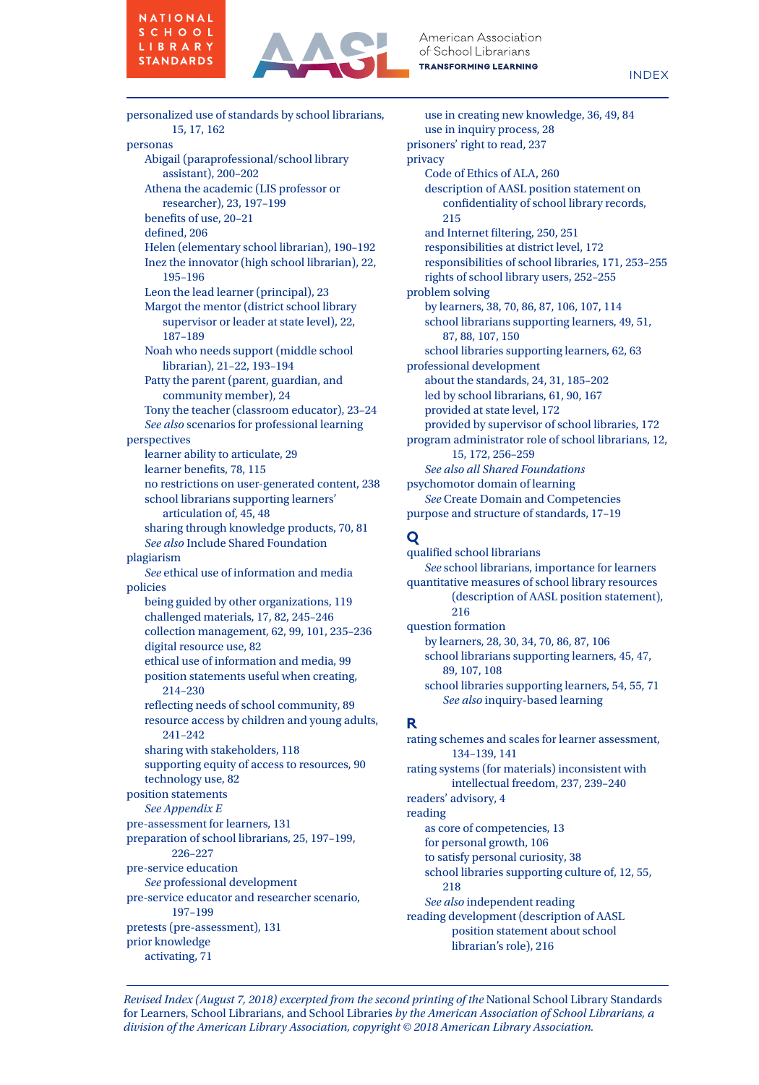# NATIONAL SCHOOL LIBRARY **STANDARDS**



American Association of School Librarians **TRANSFORMING LEARNING** 

index

personalized use of standards by school librarians, 15, 17, 162 personas Abigail (paraprofessional/school library assistant), 200–202 Athena the academic (LIS professor or researcher), 23, 197–199 benefits of use, 20–21 defined, 206 Helen (elementary school librarian), 190–192 Inez the innovator (high school librarian), 22, 195–196 Leon the lead learner (principal), 23 Margot the mentor (district school library supervisor or leader at state level), 22, 187–189 Noah who needs support (middle school librarian), 21–22, 193–194 Patty the parent (parent, guardian, and community member), 24 Tony the teacher (classroom educator), 23–24 *See also* scenarios for professional learning perspectives learner ability to articulate, 29 learner benefits, 78, 115 no restrictions on user-generated content, 238 school librarians supporting learners' articulation of, 45, 48 sharing through knowledge products, 70, 81 *See also* Include Shared Foundation plagiarism *See* ethical use of information and media policies being guided by other organizations, 119 challenged materials, 17, 82, 245–246 collection management, 62, 99, 101, 235–236 digital resource use, 82 ethical use of information and media, 99 position statements useful when creating, 214–230 reflecting needs of school community, 89 resource access by children and young adults, 241–242 sharing with stakeholders, 118 supporting equity of access to resources, 90 technology use, 82 position statements *See Appendix E* pre-assessment for learners, 131 preparation of school librarians, 25, 197–199, 226–227 pre-service education *See* professional development pre-service educator and researcher scenario, 197–199 pretests (pre-assessment), 131 prior knowledge activating, 71

use in creating new knowledge, 36, 49, 84 use in inquiry process, 28 prisoners' right to read, 237 privacy Code of Ethics of ALA, 260 description of AASL position statement on confidentiality of school library records, 215 and Internet filtering, 250, 251 responsibilities at district level, 172 responsibilities of school libraries, 171, 253–255 rights of school library users, 252–255 problem solving by learners, 38, 70, 86, 87, 106, 107, 114 school librarians supporting learners, 49, 51, 87, 88, 107, 150 school libraries supporting learners, 62, 63 professional development about the standards, 24, 31, 185–202 led by school librarians, 61, 90, 167 provided at state level, 172 provided by supervisor of school libraries, 172 program administrator role of school librarians, 12, 15, 172, 256–259 *See also all Shared Foundations* psychomotor domain of learning *See* Create Domain and Competencies purpose and structure of standards, 17–19

# **Q**

qualified school librarians *See* school librarians, importance for learners quantitative measures of school library resources (description of AASL position statement), 216 question formation by learners, 28, 30, 34, 70, 86, 87, 106 school librarians supporting learners, 45, 47, 89, 107, 108 school libraries supporting learners, 54, 55, 71 *See also* inquiry-based learning

# **R**

rating schemes and scales for learner assessment, 134–139, 141 rating systems (for materials) inconsistent with intellectual freedom, 237, 239–240 readers' advisory, 4 reading as core of competencies, 13 for personal growth, 106 to satisfy personal curiosity, 38 school libraries supporting culture of, 12, 55, 218 *See also* independent reading reading development (description of AASL position statement about school librarian's role), 216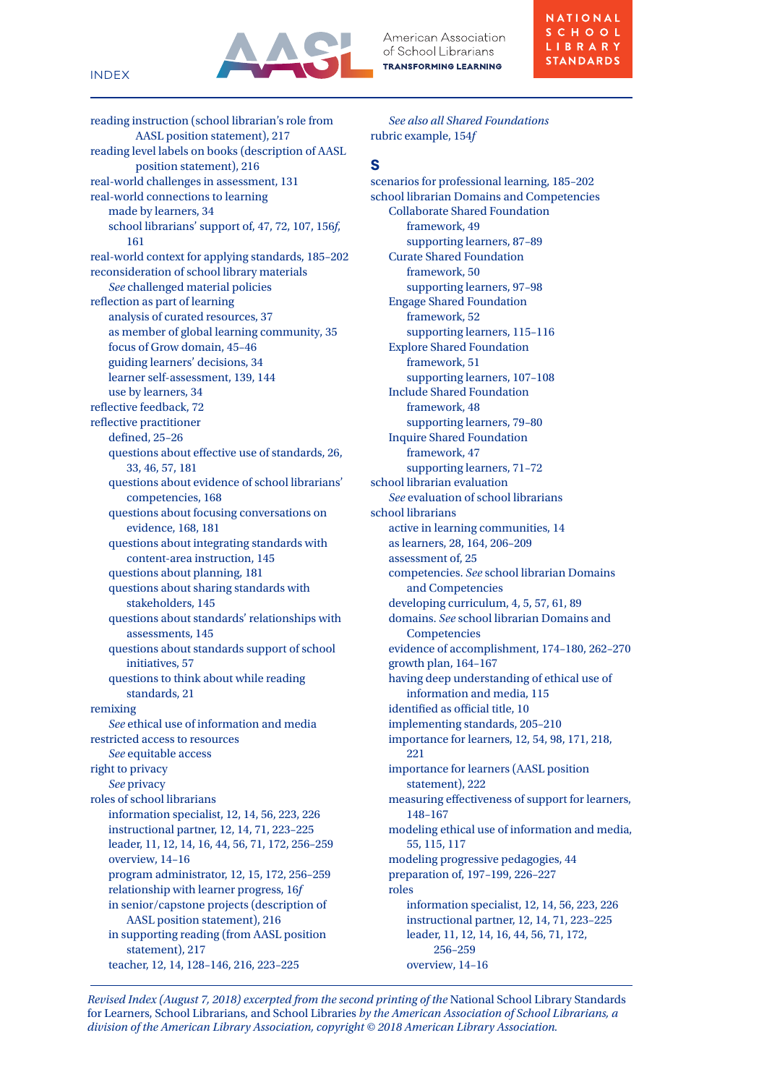

reading instruction (school librarian's role from

American Association of School Librarians **TRANSFORMING LEARNING** 

AASL position statement), 217 reading level labels on books (description of AASL position statement), 216 real-world challenges in assessment, 131 real-world connections to learning made by learners, 34 school librarians' support of, 47, 72, 107, 156*f*, 161 real-world context for applying standards, 185–202 reconsideration of school library materials *See* challenged material policies reflection as part of learning analysis of curated resources, 37 as member of global learning community, 35 focus of Grow domain, 45–46 guiding learners' decisions, 34 learner self-assessment, 139, 144 use by learners, 34 reflective feedback, 72 reflective practitioner defined, 25–26 questions about effective use of standards, 26, 33, 46, 57, 181 questions about evidence of school librarians' competencies, 168 questions about focusing conversations on evidence, 168, 181 questions about integrating standards with content-area instruction, 145 questions about planning, 181 questions about sharing standards with stakeholders, 145 questions about standards' relationships with assessments, 145 questions about standards support of school initiatives, 57 questions to think about while reading standards, 21 remixing *See* ethical use of information and media restricted access to resources *See* equitable access right to privacy *See* privacy roles of school librarians information specialist, 12, 14, 56, 223, 226 instructional partner, 12, 14, 71, 223–225 leader, 11, 12, 14, 16, 44, 56, 71, 172, 256–259 overview, 14–16 program administrator, 12, 15, 172, 256–259 relationship with learner progress, 16*f* in senior/capstone projects (description of AASL position statement), 216 in supporting reading (from AASL position statement), 217 teacher, 12, 14, 128–146, 216, 223–225

*See also all Shared Foundations* rubric example, 154*f*

# **S**

scenarios for professional learning, 185–202 school librarian Domains and Competencies Collaborate Shared Foundation framework, 49 supporting learners, 87–89 Curate Shared Foundation framework, 50 supporting learners, 97–98 Engage Shared Foundation framework, 52 supporting learners, 115–116 Explore Shared Foundation framework, 51 supporting learners, 107–108 Include Shared Foundation framework, 48 supporting learners, 79–80 Inquire Shared Foundation framework, 47 supporting learners, 71–72 school librarian evaluation *See* evaluation of school librarians school librarians active in learning communities, 14 as learners, 28, 164, 206–209 assessment of, 25 competencies. *See* school librarian Domains and Competencies developing curriculum, 4, 5, 57, 61, 89 domains. *See* school librarian Domains and Competencies evidence of accomplishment, 174–180, 262–270 growth plan, 164–167 having deep understanding of ethical use of information and media, 115 identified as official title, 10 implementing standards, 205–210 importance for learners, 12, 54, 98, 171, 218, 221 importance for learners (AASL position statement), 222 measuring effectiveness of support for learners, 148–167 modeling ethical use of information and media, 55, 115, 117 modeling progressive pedagogies, 44 preparation of, 197–199, 226–227 roles information specialist, 12, 14, 56, 223, 226 instructional partner, 12, 14, 71, 223–225 leader, 11, 12, 14, 16, 44, 56, 71, 172, 256–259 overview, 14–16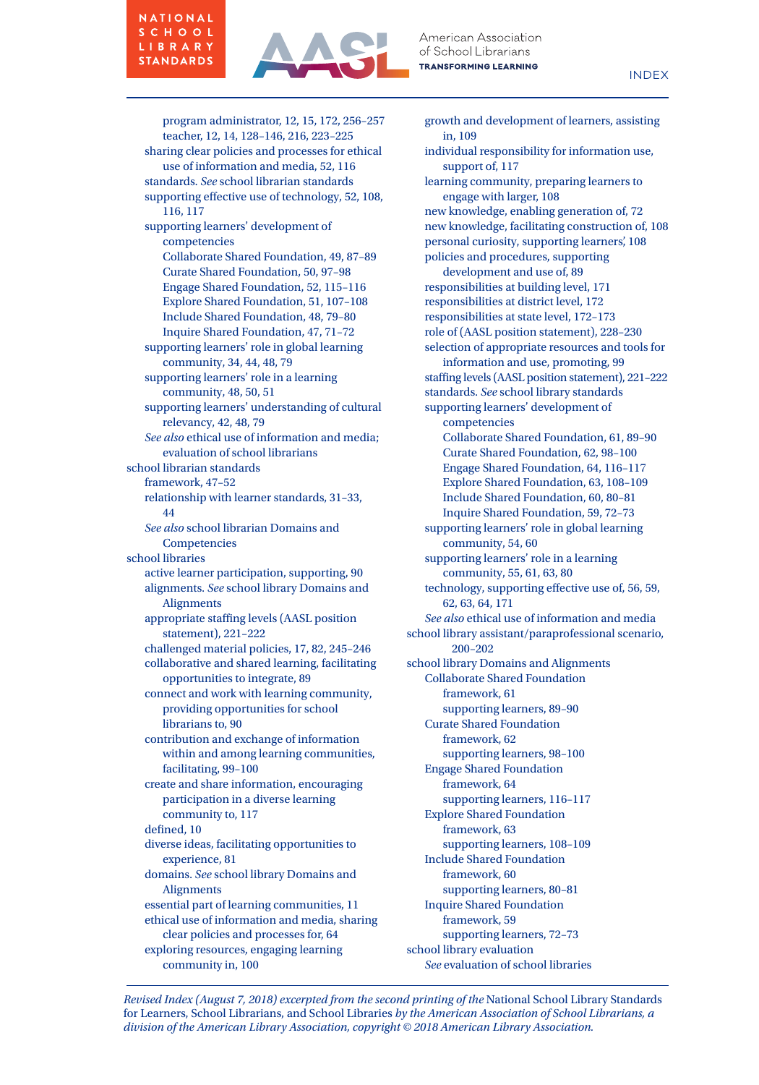

program administrator, 12, 15, 172, 256–257 teacher, 12, 14, 128–146, 216, 223–225 sharing clear policies and processes for ethical use of information and media, 52, 116 standards. *See* school librarian standards supporting effective use of technology, 52, 108, 116, 117 supporting learners' development of competencies Collaborate Shared Foundation, 49, 87–89 Curate Shared Foundation, 50, 97–98 Engage Shared Foundation, 52, 115–116 Explore Shared Foundation, 51, 107–108 Include Shared Foundation, 48, 79–80 Inquire Shared Foundation, 47, 71–72 supporting learners' role in global learning community, 34, 44, 48, 79 supporting learners' role in a learning community, 48, 50, 51 supporting learners' understanding of cultural relevancy, 42, 48, 79 *See also* ethical use of information and media; evaluation of school librarians school librarian standards framework, 47–52 relationship with learner standards, 31–33, 44 *See also* school librarian Domains and Competencies school libraries active learner participation, supporting, 90 alignments. *See* school library Domains and **Alignments** appropriate staffing levels (AASL position statement), 221–222 challenged material policies, 17, 82, 245–246 collaborative and shared learning, facilitating opportunities to integrate, 89 connect and work with learning community, providing opportunities for school librarians to, 90 contribution and exchange of information within and among learning communities, facilitating, 99–100 create and share information, encouraging participation in a diverse learning community to, 117 defined, 10 diverse ideas, facilitating opportunities to experience, 81 domains. *See* school library Domains and Alignments essential part of learning communities, 11 ethical use of information and media, sharing clear policies and processes for, 64 exploring resources, engaging learning community in, 100

growth and development of learners, assisting in, 109 individual responsibility for information use, support of, 117 learning community, preparing learners to engage with larger, 108 new knowledge, enabling generation of, 72 new knowledge, facilitating construction of, 108 personal curiosity, supporting learners', 108 policies and procedures, supporting development and use of, 89 responsibilities at building level, 171 responsibilities at district level, 172 responsibilities at state level, 172–173 role of (AASL position statement), 228–230 selection of appropriate resources and tools for information and use, promoting, 99 staffing levels (AASL position statement), 221–222 standards. *See* school library standards supporting learners' development of competencies Collaborate Shared Foundation, 61, 89–90 Curate Shared Foundation, 62, 98–100 Engage Shared Foundation, 64, 116–117 Explore Shared Foundation, 63, 108–109 Include Shared Foundation, 60, 80–81 Inquire Shared Foundation, 59, 72–73 supporting learners' role in global learning community, 54, 60 supporting learners' role in a learning community, 55, 61, 63, 80 technology, supporting effective use of, 56, 59, 62, 63, 64, 171 *See also* ethical use of information and media school library assistant/paraprofessional scenario, 200–202 school library Domains and Alignments Collaborate Shared Foundation framework, 61 supporting learners, 89–90 Curate Shared Foundation framework, 62 supporting learners, 98–100 Engage Shared Foundation framework, 64 supporting learners, 116–117 Explore Shared Foundation framework, 63 supporting learners, 108–109 Include Shared Foundation framework, 60 supporting learners, 80–81 Inquire Shared Foundation framework, 59 supporting learners, 72–73 school library evaluation *See* evaluation of school libraries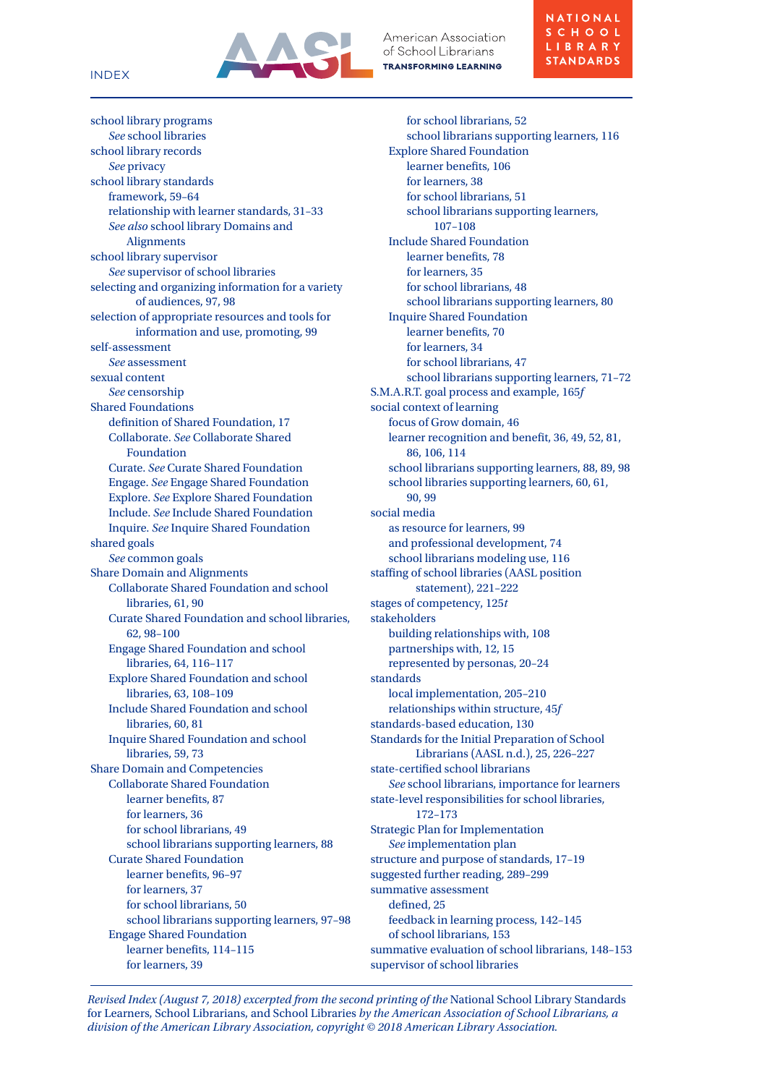

American Association of School Librarians **TRANSFORMING LEARNING** 

school library programs *See* school libraries school library records *See* privacy school library standards framework, 59–64 relationship with learner standards, 31–33 *See also* school library Domains and Alignments school library supervisor *See* supervisor of school libraries selecting and organizing information for a variety of audiences, 97, 98 selection of appropriate resources and tools for information and use, promoting, 99 self-assessment *See* assessment sexual content *See* censorship Shared Foundations definition of Shared Foundation, 17 Collaborate. *See* Collaborate Shared Foundation Curate. *See* Curate Shared Foundation Engage. *See* Engage Shared Foundation Explore. *See* Explore Shared Foundation Include. *See* Include Shared Foundation Inquire. *See* Inquire Shared Foundation shared goals *See* common goals Share Domain and Alignments Collaborate Shared Foundation and school libraries, 61, 90 Curate Shared Foundation and school libraries, 62, 98–100 Engage Shared Foundation and school libraries, 64, 116–117 Explore Shared Foundation and school libraries, 63, 108–109 Include Shared Foundation and school libraries, 60, 81 Inquire Shared Foundation and school libraries, 59, 73 Share Domain and Competencies Collaborate Shared Foundation learner benefits, 87 for learners, 36 for school librarians, 49 school librarians supporting learners, 88 Curate Shared Foundation learner benefits, 96–97 for learners, 37 for school librarians, 50 school librarians supporting learners, 97–98 Engage Shared Foundation learner benefits, 114–115 for learners, 39

for school librarians, 52 school librarians supporting learners, 116 Explore Shared Foundation learner benefits, 106 for learners, 38 for school librarians, 51 school librarians supporting learners, 107–108 Include Shared Foundation learner benefits, 78 for learners, 35 for school librarians, 48 school librarians supporting learners, 80 Inquire Shared Foundation learner benefits, 70 for learners, 34 for school librarians, 47 school librarians supporting learners, 71–72 S.M.A.R.T. goal process and example, 165*f* social context of learning focus of Grow domain, 46 learner recognition and benefit, 36, 49, 52, 81, 86, 106, 114 school librarians supporting learners, 88, 89, 98 school libraries supporting learners, 60, 61, 90, 99 social media as resource for learners, 99 and professional development, 74 school librarians modeling use, 116 staffing of school libraries (AASL position statement), 221–222 stages of competency, 125*t* stakeholders building relationships with, 108 partnerships with, 12, 15 represented by personas, 20–24 standards local implementation, 205–210 relationships within structure, 45*f* standards-based education, 130 Standards for the Initial Preparation of School Librarians (AASL n.d.), 25, 226–227 state-certified school librarians *See* school librarians, importance for learners state-level responsibilities for school libraries, 172–173 Strategic Plan for Implementation *See* implementation plan structure and purpose of standards, 17–19 suggested further reading, 289–299 summative assessment defined, 25 feedback in learning process, 142–145 of school librarians, 153 summative evaluation of school librarians, 148–153 supervisor of school libraries